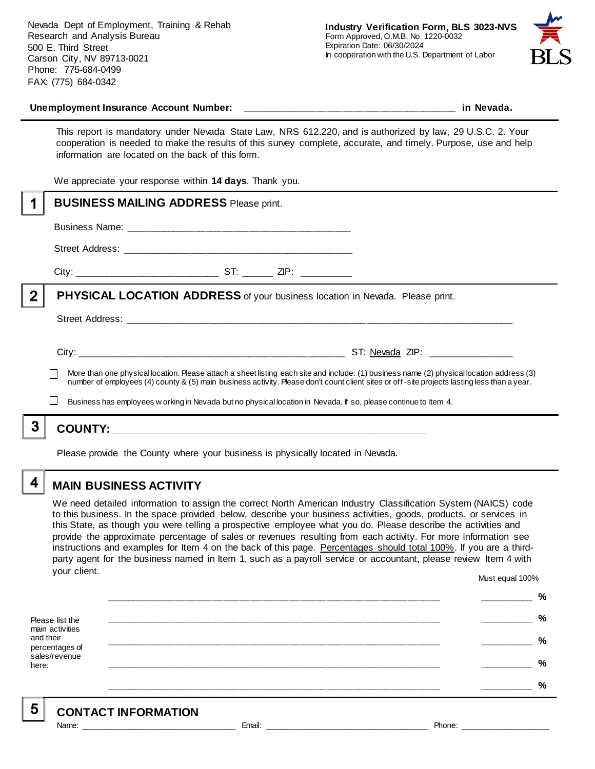Nevada Dept of Employment, Training & Rehab Research and Analysis Bureau 500 E. Third Street Carson City, NV 89713-0021 Phone: 775-684-0499 FAX: (775) 684-0342



#### **Unemployment Insurance Account Number: \_\_\_\_\_\_\_\_\_\_\_\_\_\_\_\_\_\_\_\_\_\_\_\_\_\_\_\_\_\_\_\_\_\_\_\_\_\_\_\_ in Nevada.**

This report is mandatory under Nevada State Law, NRS 612.220, and is authorized by law, 29 U.S.C. 2. Your cooperation is needed to make the results of this survey complete, accurate, and timely. Purpose, use and help information are located on the back of this form.

We appreciate your response within **14 days**. Thank you.

|   | <b>BUSINESS MAILING ADDRESS Please print.</b>                                                                                                                                                                                                                                            |
|---|------------------------------------------------------------------------------------------------------------------------------------------------------------------------------------------------------------------------------------------------------------------------------------------|
|   |                                                                                                                                                                                                                                                                                          |
|   |                                                                                                                                                                                                                                                                                          |
|   |                                                                                                                                                                                                                                                                                          |
| 2 | <b>PHYSICAL LOCATION ADDRESS</b> of your business location in Nevada. Please print.                                                                                                                                                                                                      |
|   |                                                                                                                                                                                                                                                                                          |
|   |                                                                                                                                                                                                                                                                                          |
|   | More than one physical location. Please attach a sheet listing each site and include: (1) business name (2) physical location address (3)<br>number of employees (4) county & (5) main business activity. Please don't count client sites or off-site projects lasting less than a year. |
|   | Business has employees w orking in Nevada but no physical location in Nevada. If so, please continue to Item 4.                                                                                                                                                                          |
| 3 |                                                                                                                                                                                                                                                                                          |
|   | Please provide the County where your business is physically located in Nevada.                                                                                                                                                                                                           |

**MAIN BUSINESS ACTIVITY**

We need detailed information to assign the correct North American Industry Classification System (NAICS) code to this business. In the space provided below, describe your business activities, goods, products, or services in this State, as though you were telling a prospective employee what you do. Please describe the activities and provide the approximate percentage of sales or revenues resulting from each activity. For more information see instructions and examples for Item 4 on the back of this page. Percentages should total 100%. If you are a thirdparty agent for the business named in Item 1, such as a payroll service or accountant, please review Item 4 with your client. Must equal 100%

Please list the main activities and their percentages of sales/revenue here: **\_\_\_\_\_\_\_\_\_\_\_\_\_\_\_\_\_\_\_\_\_\_\_\_\_\_\_\_\_\_\_\_\_\_\_\_\_\_\_\_\_\_\_\_\_\_\_\_\_\_\_\_\_\_\_\_\_\_\_\_\_\_ \_\_\_\_\_\_\_\_\_\_ % \_\_\_\_\_\_\_\_\_\_\_\_\_\_\_\_\_\_\_\_\_\_\_\_\_\_\_\_\_\_\_\_\_\_\_\_\_\_\_\_\_\_\_\_\_\_\_\_\_\_\_\_\_\_\_\_\_\_\_\_\_\_ \_\_\_\_\_\_\_\_\_\_ % \_\_\_\_\_\_\_\_\_\_\_\_\_\_\_\_\_\_\_\_\_\_\_\_\_\_\_\_\_\_\_\_\_\_\_\_\_\_\_\_\_\_\_\_\_\_\_\_\_\_\_\_\_\_\_\_\_\_\_\_\_\_ \_\_\_\_\_\_\_\_\_\_ % \_\_\_\_\_\_\_\_\_\_\_\_\_\_\_\_\_\_\_\_\_\_\_\_\_\_\_\_\_\_\_\_\_\_\_\_\_\_\_\_\_\_\_\_\_\_\_\_\_\_\_\_\_\_\_\_\_\_\_\_\_\_ \_\_\_\_\_\_\_\_\_\_ % \_\_\_\_\_\_\_\_\_\_\_\_\_\_\_\_\_\_\_\_\_\_\_\_\_\_\_\_\_\_\_\_\_\_\_\_\_\_\_\_\_\_\_\_\_\_\_\_\_\_\_\_\_\_\_\_\_\_\_\_\_\_ \_\_\_\_\_\_\_\_\_\_ %**

5

4